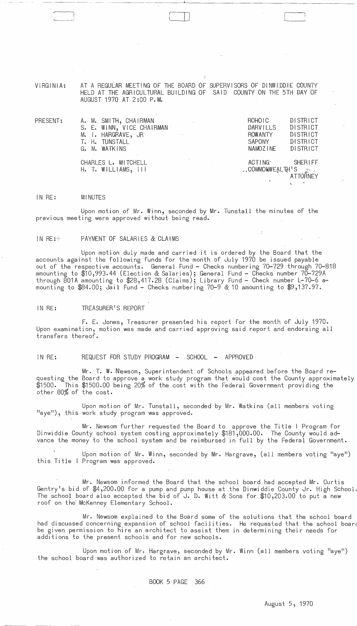VIRGINIA: AT A REGULAR MEETING OF THE BOARD OF SUPERVISORS OF DINWIDDIE COUNTY HELD AT THE AGRICULTURAL BUILDING OF SAID COUNTY ON THE 5TH DAY OF AUGUST 1970 AT 2:00 P~M.

II ]

| PRESENT: | A. M. SMITH, CHAIRMAN<br>$\mathcal{L}^{\text{max}}_{\text{max}}$ and $\mathcal{L}^{\text{max}}_{\text{max}}$<br>S. E. WINN, VICE CHAIRMAN<br>M. I. HARGRAVE, JR | ROHOIC<br>DARVILLS<br><b>ROWANTY</b> | <b>DISTRICT</b><br>DISTRICT<br>DISTRICT |
|----------|-----------------------------------------------------------------------------------------------------------------------------------------------------------------|--------------------------------------|-----------------------------------------|
|          | T. H. TUNSTALL                                                                                                                                                  | SAPONY                               | DISTRICT                                |
|          | G. M. WATKINS                                                                                                                                                   | NAMOZINE                             | DISTRICT                                |
|          | CHARLES L. MITCHELL                                                                                                                                             | ACTING O                             | SHERIFF                                 |
|          | $H.$ T. WILLIAMS, $111$                                                                                                                                         | △↓COMMONWEALTH'S <sub>Strate</sub>   | ATTORNEY                                |

#### IN RE: MINUTES

Upon motion of Mr. Winn, seconded by Mr. Tunstall the minutes of the previous meeting were approved without being read.

### IN RE: PAYMENT OF SALARIES & CLAIMS

Upon motion duly made and carried it is ordered by the Board that the accounts against the following funds for the month of July 1970 be issued payable out of the respective accounts. General Fund - Checks numbering 70-729 through 70-818 amounting to \$10,993.44 (Election & Salaries); General Fund - Checks number 70-729A through 801A amounting to \$28,417.28 (Claims); Library Fund - Check number L-70-6 amounting to \$84.00; Jail Fund - Checks numbering 70-9 & 10 amounting to \$9,137.97.

IN RE: TREASURER'S REPORT

F. E. Jones, Treasurer presented his report for the month of July 1970. Upon examination, motion was made and carried approving said report and endorsing all transfers thereof.

IN RE: REQUEST FOR STUDY PROGRAM - SCHOOL - APPROVED

Mr. T. W. Niewsom, Superintendent of Schools appeared before the Board requesting the Board to approve a work study program that would cost the County approximately \$1500. This \$1500.00 being 20% of the cost with the Federal Government providing the other 80% of the cost.

Upon motion of Mr. Tunstall, seconded by Mr. Watkins (all members voting "aye"), this work study program was approved.

Mr. Newsom further requested the Board to approve the Title I Program for Dinwiddie County school system costing approximately \$181,000.00. The County would advance the money to the school system and be reimbursed in full by the Federal Government.

this Ti tIe Program was approved. Upon motion of Mr. Winn, seconded by Mr. Hargrave, (all members voting "aye")

Mr. Newsom informed the Board that the school board had accepted Mr. Curtis Gentry's bid of \$4,200.00 for a pump and pump house at the Dinwiddie County Jr. High School The schoo! board also accepted the bid of J. D. Witt & Sons for \$10,203.00 to put a new roof on the McKenney Elementary School.

Mr. Newsom explained to the Board some of the solutions that the school board had discussed concerning expansion of school facilities. He requested that the school boar be given permission to hire an architect to assist them in determining their needs for additions to the present schools and for new schools.

Upon motion of Mr. Hargrave, seconded by Mr. Winn (all members voting "aye") the school board was authorized to retain an archi tect.

BOOK 5 PAGE 366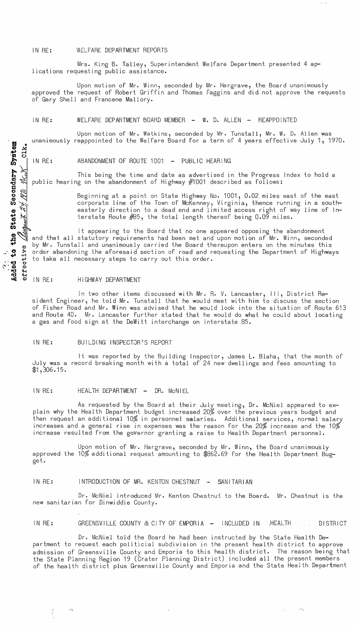### IN RE: WELFARE DEPARTMENT REPORTS

Mrs. King B. Talley, Superintendent Welfare Department presented 4 aplications requesting public assistance.

Upon motion of Mr. Winn, seconded by Mr. Hargrave, the Board unanimously approved the request of Robert Griffin and Thomas Faggins and did not approve the requests of Gary Shell and Francene Mallory.

## IN RE: WELFARE DEPARTMENT BOARD MEMBER - W. D. ALLEN - REAPPOINTED

Upon motion of Mr. Watkins, seconded by Mr. Tunstall, Mr. W. D. Allen was unanimously reappointed to the Welfare Board for a term of 4 years effective July 1, 1970.

 $\Xi$ 

the

1978

tate

 $\boldsymbol{\omega}$ 

<u>ដូ</u> **-0**  .. ' ...,  $\cdot$   $\cdot$   $\cdot$  $\cdot$   $\cdot$   $\cdot$   $\cdot$ "tj «

 $iv$ e

effect

IN RE: ABANDONMENT OF ROUTE 1001 - PUBLIC HEARING

This being the time and date as advertised in the Progress Index to hold a public hearing on the abandonment of Highway #1001 described as follows:

> Beginning at a point on State Highway No. 1001, 0.02 miles east of the east corporate line of the Town of McKenney, Vi rginia, thence running in a south- easterly direction to a dead end and limited access right of way line of In· terstate Route #85, the total length thereof being 0.09 miles.

It appearing to the Board that no one appeared opposing the abandonment and that all statutory requirements had been met and upon motion of Mr. Winn, seconded by Mr. Tunstall and unanimously carried the Board thereupon enters on the minutes this order abandoning the aforesaid section of road and requesting the Department of Highways to take all necessary steps to carry out this order.

## IN RE: HIGHWAY DEPARTMENT

с,

 $\frac{1}{2}$ 

In two other items discussed with Mr. R. V. Lancaster, III, District Resident Engineer, he told Mr. Tunstall that he would meet with him to discuss the section of Fisher Road and Mr. Winn was advised that he would look into the situation of Route 613 and Route 40. Mr. Lancaster further stated that he would do what he could about locating a gas and food sign at the DeWitt interchange on Interstate 85.

## IN RE: BUILDING INSPECTOR'S REPORT

It was reported by the Building Inspector, James L. Blaha, that the month of July was a record breaking month with a total of 24 new dwellings and fees amounting to  $$1,306.15.$ 

## IN RE: HEALTH DEPARTMENT - DR. McNIEL

As requested by the Board at their July meeting, Dr. McNiel appeared to explain why the Health Department budget increased 20% over the previous years budget and then request an additional 10% in personnel salaries. Additional services, normal salary increases and a general rise in expenses was the reason for the 20% increase and the 10% increase resulted from the gOVernor granting a raise to Health Department personnel.

Upon motion of Mr. Hargrave, seconded by Mr. Winn, the Board unanimously approved the 10% additional request amounting to \$862.69 for the Health Depqrtment Bugget.

#### IN RE: INTRODUCTION OF MR. KENTON CHESTNUT .- SANITARIAN

Dr. McNiel introduced Mr. Kenton Chestnut to the Board. Mr. Chestnut is the new sanitarian for Dinwiddie County.

IN  $RE:$  GREENSVILLE COUNTY & CITY OF EMPORIA  $-$  INCLUDED IN .HEALTH  $\ldots$  is district

Dr. McNiel told the Board he had been instructed by the State Health Department to request each politicial subdivision in the present health district to approve admission of Greensville County and Emporia to this health district. The reason being that the State Planning Region 19 (Crater Planning District) included all the present members of the health district plus Greenswille County and Emporia and the State Health Department

 $\Gamma$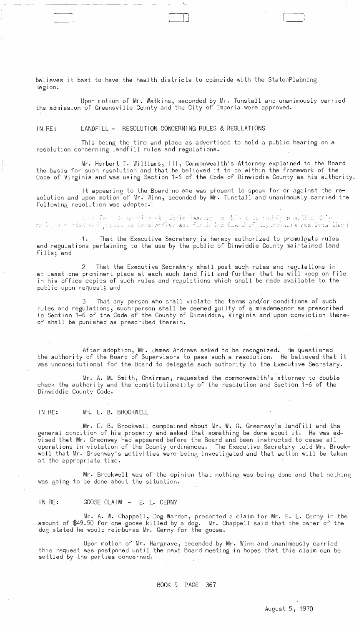believes it best to have the health districts to comncide with the StateaPlanning Region.

Upon motion of Mr. Watkins, seconded by Mr. Tunstall and unanimously carried the admission of Greensville County and the City of Emporia were approved.

 $\Box$  .

\_\_\_\_ .\_~ \_\_ <sup>~</sup>\_\_\_\_\_\_ .....L \_\_\_\_\_\_\_\_\_\_\_\_\_\_\_\_\_\_\_\_\_ <sup>~</sup>

## IN RE: LANDFILL - RESOLUTION CONCERNING RULES & REGULATIONS

This being the time and place as advertised to hold a public hearing on a resolution concerning landfill rules and regulations.

Mr. Herbert T. Williams, III, Commonwealth's Attorney explained to the Board. the basis for such resolution and that he believed it to be within the framework of the Code of Virginia and was using Section 1-6 of the Code of Dinwiddie County as his authority.

It appearing to the Board no one was present to speak for or against the resolution and upon motion of Mr. Winn, seconded by Mr. Tunstall and unanimously carried the following resolution was adopted.

is hereinsfler set furth the Board of duyorviaurs rescives that: , it is a set  $\mathbb{R}^d$  ,  $\mathbb{R}^d$  ,  $\mathbb{R}^d$  ,  $\mathbb{R}^d$ 

That the Executive Secretary is hereby authorized to promulgate rules and regulations pertaining to the use by the public of Dinwiddie County maintained land fills; and

That the Executive Secretary shall post such rules and regulations in at least one prominent place at each such land fill and further that he will keep on file in his 6ffice copies of such rules and regulations which shall be made available to the public upon request; and

That any person who shall violate the terms and/or conditions of such rules and regulations, such' person shall be deemed guilty of a misdemeanor as prescribed in Section 1-6 of the Code of the County of Dinwiddie, Virginia and upon conviction thereof shall be punished as prescribed therein.

After adoption, Mr. James Andrews asked to be recognized. He questioned the authority of the Board of Supervisors to pass such a resolution. He believed that it was unconsitutional for the Board to delegate such authority to the Executive Secretary.

Mr. A. M. Smith, Chairman, requested the commonwealth's attorney to double check the authority and the constitutionality of the resolution and Section 1-6 of the Dinwiddie County Code.

## IN RE: MR. E. B. BROCKWELL

Mr. E.' B. Brockwell complained about Mr. W. G. Greenway's landfill and the general condition of his property and asked that something be done about it. He was advised that Mr. Greenway had appeared before the Board and been instructed to cease all operations in violation of the County ordinances. The Executive Secretary told Mr. Broekwell that Mr. Greenway's activities were being investigated and that action will be taken at the appropriate time.

Mr. Brockwell was of the opinion that nothing was being done and that nothing was going to be done about the situation.

## IN RE: GOOSE CLAIM - E. L. CERNY

Mr. A. W. Chappell, Dog Warden, presented a claim for Mr. E. L. Cerny in the amount of \$49.50 for one goose killed by a dog. Mr. Chappell said that the owner of the dog stated he would reimburse Mr. Cerny for the goose.

Upon motion of Mr. Hargrave, seconded by Mr. Winn and unanimously carried this request was postponed until the next Board meeting in hopes that this claim can be settled by the parties concerned.

### BOOK 5 PAGE 367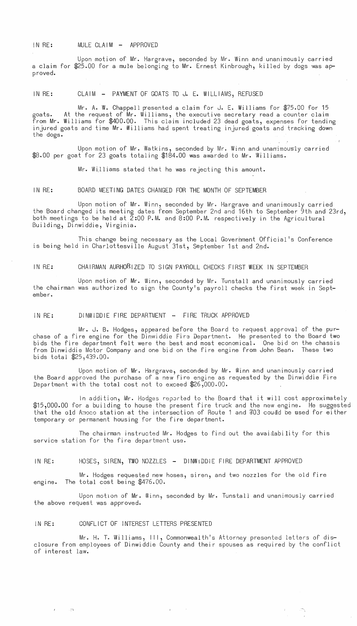## IN RE: MULE CLAIM - APPROVED

Upon motion of Mr. Hargrave, seconded by Mr. Winn and unanimously carried a claim for \$25.00 for a mule belonging to Mr. Ernest Kinbrough, killed by dogs was approved.

IN RE: CLAIM - PAYMENT OF GOATS TO J. E. WILLIAMS, REFUSED

Mr. A. W. Chappell presented a claim for J. E. Williams for  $$75.00$  for 15 goats. At the request of Mr. Williams, the executive secretary read a counter claim from Mr. Williams for \$400.00. This claim included 23 dead goats, expenses for tending injured goats and time Mr. Williams had spent treating injured goats and tracking down the dogs.

Upon motion of Mr. Watkins, seconded by Mr. Winn and unanimously carried \$8.00 per goat for 23 goats totaling \$184.00 was awarded to Mr. Williams.

Mr. Wi,lliams stated that he was rejecting this amount.

IN RE: BOARD MEETING DATES CHANGED FOR THE MONTH OF SEPTEMBER

Upon motion of Mr. Winn, seconded by Mr. Hargrave and unanimously carried the Board changed its meeting dates from September 2nd and 16th to September 9th and 23rd, both meetings to be held at  $\tilde{2}:00$  P.M. and 8:00 P.M. respectively in the Agricultural Building, Dinwiddie, Virginia.

This change being necessary as the Local Government Official's Conference is being held in Charlottesville August 31st, September 1st and 2nd.

IN RE: CHAIRMAN AURHORIZED TO SIGN PAYROLL CHECKS FIRST WEEK IN SEPTEMBER

Upon motion of Mr. Winn, seconded by Mr. Tunstall and unanimously carried the chairman was authorized to sign the County's payroll checks the first week in September.

IN RE: DINWIDDIE FIRE DEPARTMENT - FIRE TRUCK APPROVED

Mr. J. B. Hodges, appeared before the Board to request approval of the purchase of a fire engine for the Dinwiddie Fire Department. He presented to the Board two bids the fire department felt were the best and most economical. One bid on the chassis from Dinwiddie Motor Company and one bid on the fire engine from John Bean. These two bids total \$25,439.00.

Upon motion of Mr. Hargrave, seconded by Mr. Winn and unanimously carried the Board approved the purchase of a new fire engine as requested by the Dinwiddie Fire Department with the total cost not to exceed  $$26,000.00$ .

In addition, Mr. Hodges reported to the Board that it will cost approximately \$15,000.00 for a building to house the present fire truck and the new engine. He suggested that the old Amoco station at the intersection of Route 1 and  $703$  coudd be used for either temporary or permanent housing for the fire department.

The chairman instructed Mr. Hodges to find out the avaidability for this service station for the fire department use.

IN RE: HOSES, SIREN, TWO NOZZLES - DINWIDDIE FIRE DEPARTMENT APPROVED

Mr. Hodges requested new hoses, siren, and two nozzles for the old fire engine. The total cost being  $$476.00$ .

Upon motion of Mr. Winn, seconded by Mr. Tunstall and unanimously carried the above request was approved.

## IN RE: CONFLICT OF INTEREST LETTERS PRESENTED

 $\sim$ 

 $\mathcal{F}(\mathcal{F})$ 

Mr. H. T. Williams, III, Commonwealth's Attorney presented letters of disclosure from employees of Dinwiddie County and their spouses as required by the conflict of interest law.

 $\mathbf{q} = \mathbf{q} \times \mathbf{q}$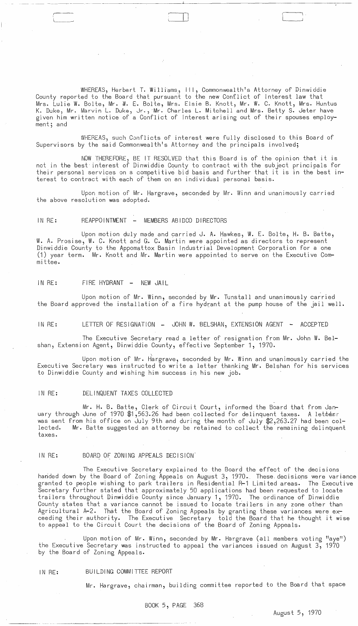WHEREAS, Herbert T. Williams, III, Commonwealth's Attorney of Dinwiddie County reported to the Board that pursuant to the new Conflict of Interest law that Mrs. Lulie W. Bolte, Mr. *I.* E. Bolte, Mrs. Elsie B. Knott, Mr. W. C. Knott, Mrs. Huntus K. Duke, Mr. Marvin L. Duke, Jr., Mr. Charles L. Mitchell and Mrs. Betty S. Jeter have given him written notice of a Conflict of Interest arising out of their spouses employment; and

- --- ----------- ------~---------"----------------------:---

 $\Box$ 

WHEREAS,) such Conflicts of interest were fully disclosed to this Board of Supervisors by the said Commonwealth's Attorney and the principals involved;

NOVv THEREFORE, BE IT RESOLVED that this Board is of the opinion that it is not in the best interest of Dinwiddie County to contract with the subject principals for their personal services on a competitive bid basis and further that it is in the best in- terest to contract with each of them on an individual personal basis.

Upon motion of Mr. Hargrave, seconded by Mr. Winn and unanimously carried the above resolution was adopted.

# IN RE: REAPPOINTMENT - MEMBERS ABIDCO DIRECTORS

Upon motion duly made and carried J. A. Hawkes, W. E. Bolte, H. B. Batte, W. A. Prosise, W. C. Knott and G. C. Martin were appointed as directors to represent Dinwiddie County to the Appomattox Basin Industrial Development Corporation for a one (1) year term. Mr. Knott and Mr. Martin were appointed to serve on the Executive Committee.

# IN RE: FIRE HYDRANT - NEW JAIL

Upon motion of Mr. Winn, seconded by Mr. Tunstall and unanimously carried the Board approved the installation of a fire hydrant at the pump house of the jail well.

IN RE: LETTER OF RESIGNATION - JOHN W. BELSHAN, EXTENSION AGENT - ACCEPTED

The Executive Secretary read a letter of resignation from Mr. John W. Belshan, Extension Agent, Dinwiddie County, effective September 1,1970.

Upon motion of Mr. Hargrave, seconded by Mr. Winn and unanimously carried the Executive Secretary was instructed to write a letter thanking Mr. Belshan for his services to Dinwiddie County and wishing him success in his new job.

## IN RE: DELINQUENT TAXES COLLECTED

Mr. H. B. Batte, Clerk of Circuit Court, informed the Board that from January through June of 1970 \$1,563.26 had been collected for delinquent taxes. A letder was sent from his office on July 9th and during the month of July \$2,263.27 had been collected. Mr. Batte suggested an attorney be retained to collect the remaining delinquent taxes.

## IN RE: BOARD OF ZONING APPEALS DECISION'

The Executive Secretary explained to the Board the effect of the decisions handed down by the Board of Zoning Appeals on August 3, 1970. These decisions were variance granted to people wishing to park trailers in Residential R-1 Limited areas. The Executive Secretary further stated that approximately 50 applications had been requested to locate trailers throughout Dinwiddie County since January 1, 1970. The ordinance of Dinwiddie County states that a variance cannot be issued to locate trailers in any zone other than Agricultural A-2. That the Board of Zoning Appeals by granting these variances were exceeding their authority. The Executive Secretary told the Board that he thought it wise to appeal to the Circuit Court the decisions of the Board of Zoning Appeals.

Upon motion of Mr. Winn, seconded by Mr. Hargrave (all members voting "aye") the Executive Secretary was instructed to appeal the variances issued on August 3, 1970 by the Board of Zoning Appeals.

# IN RE: BUILDING COMMITTEE REPORT

Mr. Hargrave, chairman, building committee reported to the Board that space